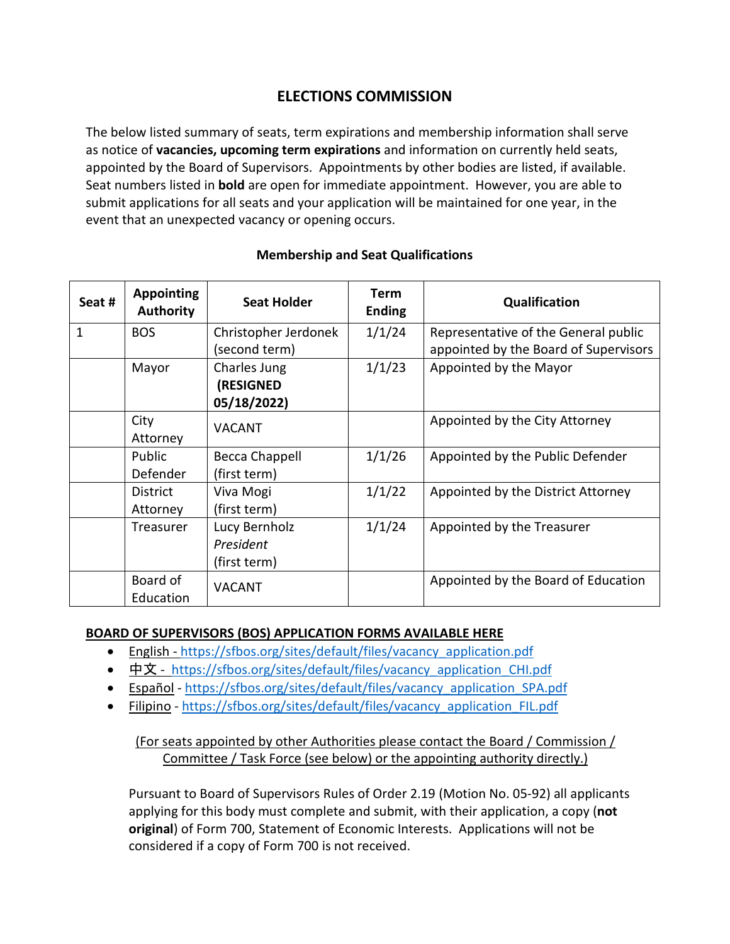# **ELECTIONS COMMISSION**

The below listed summary of seats, term expirations and membership information shall serve as notice of **vacancies, upcoming term expirations** and information on currently held seats, appointed by the Board of Supervisors. Appointments by other bodies are listed, if available. Seat numbers listed in **bold** are open for immediate appointment. However, you are able to submit applications for all seats and your application will be maintained for one year, in the event that an unexpected vacancy or opening occurs.

| Seat # | <b>Appointing</b><br><b>Authority</b> | <b>Seat Holder</b>    | <b>Term</b><br><b>Ending</b> | Qualification                         |
|--------|---------------------------------------|-----------------------|------------------------------|---------------------------------------|
| 1      | <b>BOS</b>                            | Christopher Jerdonek  | 1/1/24                       | Representative of the General public  |
|        |                                       | (second term)         |                              | appointed by the Board of Supervisors |
|        | Mayor                                 | Charles Jung          | 1/1/23                       | Appointed by the Mayor                |
|        |                                       | (RESIGNED             |                              |                                       |
|        |                                       | 05/18/2022)           |                              |                                       |
|        | City                                  | <b>VACANT</b>         |                              | Appointed by the City Attorney        |
|        | Attorney                              |                       |                              |                                       |
|        | Public                                | <b>Becca Chappell</b> | 1/1/26                       | Appointed by the Public Defender      |
|        | Defender                              | (first term)          |                              |                                       |
|        | <b>District</b>                       | Viva Mogi             | 1/1/22                       | Appointed by the District Attorney    |
|        | Attorney                              | (first term)          |                              |                                       |
|        | Treasurer                             | Lucy Bernholz         | 1/1/24                       | Appointed by the Treasurer            |
|        |                                       | President             |                              |                                       |
|        |                                       | (first term)          |                              |                                       |
|        | Board of                              | <b>VACANT</b>         |                              | Appointed by the Board of Education   |
|        | Education                             |                       |                              |                                       |

### **Membership and Seat Qualifications**

#### **BOARD OF SUPERVISORS (BOS) APPLICATION FORMS AVAILABLE HERE**

- English [https://sfbos.org/sites/default/files/vacancy\\_application.pdf](https://sfbos.org/sites/default/files/vacancy_application.pdf)
- [中文](https://sfbos.org/sites/default/files/vacancy_application_CHI.pdf) [https://sfbos.org/sites/default/files/vacancy\\_application\\_CHI.pdf](https://sfbos.org/sites/default/files/vacancy_application_CHI.pdf)
- [Español](https://sfbos.org/sites/default/files/vacancy_application_SPA.pdf) [https://sfbos.org/sites/default/files/vacancy\\_application\\_SPA.pdf](https://sfbos.org/sites/default/files/vacancy_application_SPA.pdf)
- [Filipino](https://sfbos.org/sites/default/files/vacancy_application_FIL.pdf) [https://sfbos.org/sites/default/files/vacancy\\_application\\_FIL.pdf](https://sfbos.org/sites/default/files/vacancy_application_FIL.pdf)

## (For seats appointed by other Authorities please contact the Board / Commission / Committee / Task Force (see below) or the appointing authority directly.)

Pursuant to Board of Supervisors Rules of Order 2.19 (Motion No. 05-92) all applicants applying for this body must complete and submit, with their application, a copy (**not original**) of Form 700, Statement of Economic Interests. Applications will not be considered if a copy of Form 700 is not received.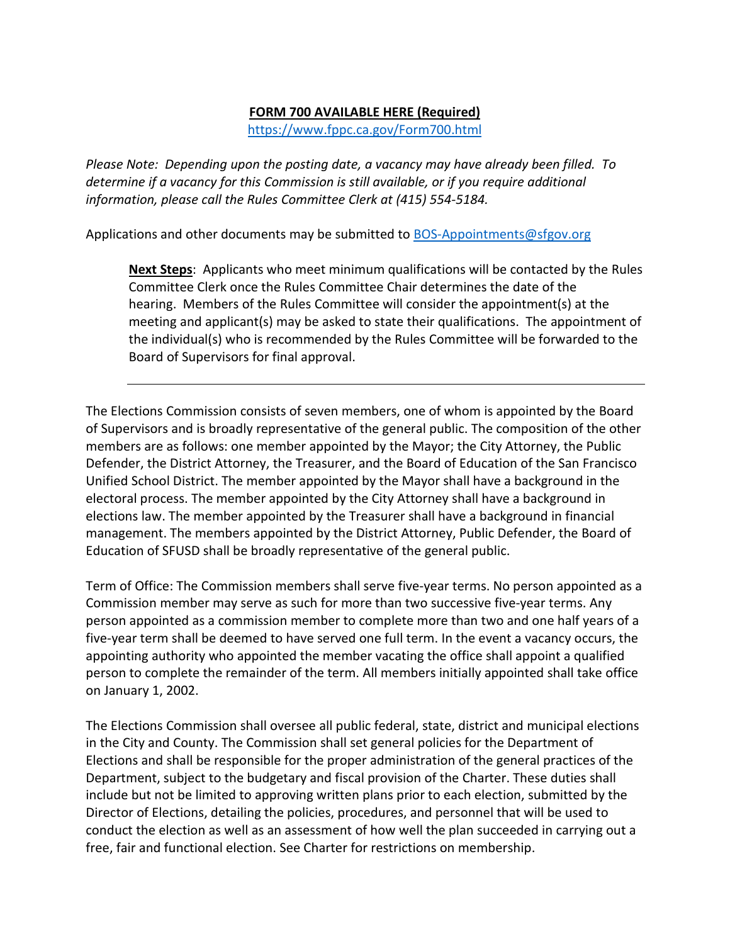#### **FORM 700 AVAILABLE HERE (Required)**

<https://www.fppc.ca.gov/Form700.html>

*Please Note: Depending upon the posting date, a vacancy may have already been filled. To determine if a vacancy for this Commission is still available, or if you require additional information, please call the Rules Committee Clerk at (415) 554-5184.*

Applications and other documents may be submitted to [BOS-Appointments@sfgov.org](mailto:BOS-Appointments@sfgov.org)

**Next Steps**: Applicants who meet minimum qualifications will be contacted by the Rules Committee Clerk once the Rules Committee Chair determines the date of the hearing. Members of the Rules Committee will consider the appointment(s) at the meeting and applicant(s) may be asked to state their qualifications. The appointment of the individual(s) who is recommended by the Rules Committee will be forwarded to the Board of Supervisors for final approval.

The Elections Commission consists of seven members, one of whom is appointed by the Board of Supervisors and is broadly representative of the general public. The composition of the other members are as follows: one member appointed by the Mayor; the City Attorney, the Public Defender, the District Attorney, the Treasurer, and the Board of Education of the San Francisco Unified School District. The member appointed by the Mayor shall have a background in the electoral process. The member appointed by the City Attorney shall have a background in elections law. The member appointed by the Treasurer shall have a background in financial management. The members appointed by the District Attorney, Public Defender, the Board of Education of SFUSD shall be broadly representative of the general public.

Term of Office: The Commission members shall serve five-year terms. No person appointed as a Commission member may serve as such for more than two successive five-year terms. Any person appointed as a commission member to complete more than two and one half years of a five-year term shall be deemed to have served one full term. In the event a vacancy occurs, the appointing authority who appointed the member vacating the office shall appoint a qualified person to complete the remainder of the term. All members initially appointed shall take office on January 1, 2002.

The Elections Commission shall oversee all public federal, state, district and municipal elections in the City and County. The Commission shall set general policies for the Department of Elections and shall be responsible for the proper administration of the general practices of the Department, subject to the budgetary and fiscal provision of the Charter. These duties shall include but not be limited to approving written plans prior to each election, submitted by the Director of Elections, detailing the policies, procedures, and personnel that will be used to conduct the election as well as an assessment of how well the plan succeeded in carrying out a free, fair and functional election. See Charter for restrictions on membership.